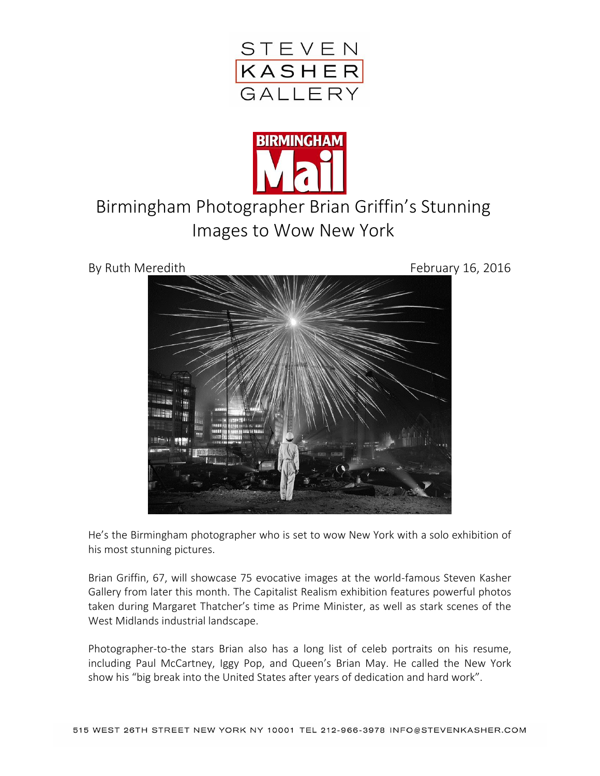



## Birmingham Photographer Brian Griffin's Stunning Images to Wow New York



He's the Birmingham photographer who is set to wow New York with a solo exhibition of his most stunning pictures.

Brian Griffin, 67, will showcase 75 evocative images at the world-famous Steven Kasher Gallery from later this month. The Capitalist Realism exhibition features powerful photos taken during Margaret Thatcher's time as Prime Minister, as well as stark scenes of the West Midlands industrial landscape.

Photographer-to-the stars Brian also has a long list of celeb portraits on his resume, including Paul McCartney, Iggy Pop, and Queen's Brian May. He called the New York show his "big break into the United States after years of dedication and hard work".